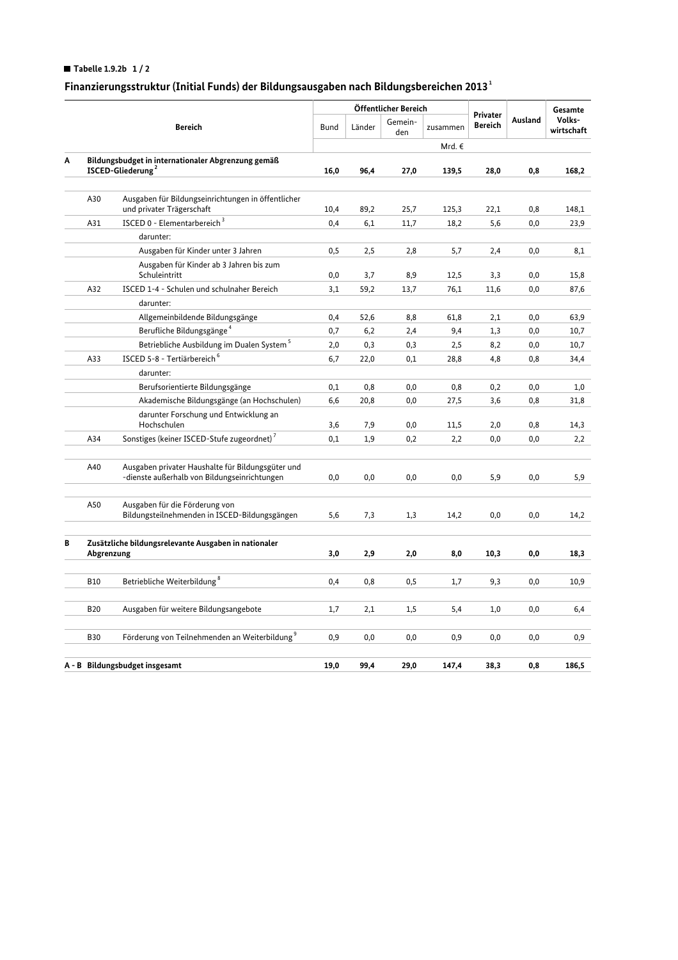## Tabelle 1.9.2b  $1/2$

## Finanzierungsstruktur (Initial Funds) der Bildungsausgaben nach Bildungsbereichen 2013 $^{\rm 1}$

|                                |                                                                                     |                                                                                                   |          | Öffentlicher Bereich |                |                 |                                   |          | Gesamte              |
|--------------------------------|-------------------------------------------------------------------------------------|---------------------------------------------------------------------------------------------------|----------|----------------------|----------------|-----------------|-----------------------------------|----------|----------------------|
|                                | <b>Bereich</b>                                                                      |                                                                                                   | Bund     | Länder               | Gemein-<br>den | zusammen        | <b>Privater</b><br><b>Bereich</b> | Ausland  | Volks-<br>wirtschaft |
|                                |                                                                                     |                                                                                                   |          |                      |                | Mrd. $\epsilon$ |                                   |          |                      |
| Α                              | Bildungsbudget in internationaler Abgrenzung gemäß<br>ISCED-Gliederung <sup>2</sup> |                                                                                                   | 16,0     | 96,4                 | 27,0           | 139,5           | 28,0                              | 0,8      | 168,2                |
|                                |                                                                                     |                                                                                                   |          |                      |                |                 |                                   |          |                      |
|                                | A30                                                                                 | Ausgaben für Bildungseinrichtungen in öffentlicher<br>und privater Trägerschaft                   | 10,4     | 89,2                 | 25,7           | 125,3           | 22,1                              | 0,8      | 148,1                |
|                                | A31                                                                                 | ISCED 0 - Elementarbereich <sup>3</sup>                                                           | 0,4      | 6,1                  | 11,7           | 18,2            | 5,6                               | 0,0      | 23,9                 |
|                                |                                                                                     | darunter:                                                                                         |          |                      |                |                 |                                   |          |                      |
|                                |                                                                                     | Ausgaben für Kinder unter 3 Jahren                                                                | 0,5      | 2,5                  | 2,8            | 5,7             | 2,4                               | 0,0      | 8,1                  |
|                                |                                                                                     | Ausgaben für Kinder ab 3 Jahren bis zum<br>Schuleintritt                                          | 0,0      | 3,7                  | 8,9            | 12,5            | 3,3                               | 0,0      | 15,8                 |
|                                | A32                                                                                 | ISCED 1-4 - Schulen und schulnaher Bereich                                                        | 3,1      | 59,2                 | 13,7           | 76,1            | 11,6                              | 0,0      | 87,6                 |
|                                |                                                                                     | darunter:                                                                                         |          |                      |                |                 |                                   |          |                      |
|                                |                                                                                     | Allgemeinbildende Bildungsgänge                                                                   | 0,4      | 52,6                 | 8,8            | 61,8            | 2,1                               | 0,0      | 63,9                 |
|                                |                                                                                     | Berufliche Bildungsgänge <sup>4</sup>                                                             | 0,7      | 6,2                  | 2,4            | 9,4             | 1,3                               | 0,0      | 10,7                 |
|                                |                                                                                     | Betriebliche Ausbildung im Dualen System <sup>5</sup>                                             | 2,0      | 0,3                  | 0,3            | 2,5             | 8,2                               | 0,0      | 10,7                 |
|                                | A33                                                                                 | ISCED 5-8 - Tertiärbereich <sup>6</sup>                                                           | 6,7      | 22,0                 | 0,1            | 28,8            | 4,8                               | 0,8      | 34,4                 |
|                                |                                                                                     | darunter:                                                                                         |          |                      |                |                 |                                   |          |                      |
|                                |                                                                                     | Berufsorientierte Bildungsgänge                                                                   | $_{0,1}$ | 0,8                  | 0,0            | 0,8             | 0,2                               | 0,0      | 1,0                  |
|                                |                                                                                     | Akademische Bildungsgänge (an Hochschulen)                                                        | 6,6      | 20,8                 | 0,0            | 27,5            | 3,6                               | 0,8      | 31,8                 |
|                                |                                                                                     | darunter Forschung und Entwicklung an<br>Hochschulen                                              | 3,6      | 7,9                  | 0,0            | 11,5            | 2,0                               | 0,8      | 14,3                 |
|                                | A34                                                                                 | Sonstiges (keiner ISCED-Stufe zugeordnet) <sup>7</sup>                                            | 0,1      | 1,9                  | 0,2            | 2,2             | 0,0                               | 0,0      | 2,2                  |
|                                |                                                                                     |                                                                                                   |          |                      |                |                 |                                   |          |                      |
|                                | A40                                                                                 | Ausgaben privater Haushalte für Bildungsgüter und<br>-dienste außerhalb von Bildungseinrichtungen | 0,0      | 0,0                  | 0,0            | 0,0             | 5,9                               | 0,0      | 5,9                  |
|                                | A50                                                                                 | Ausgaben für die Förderung von<br>Bildungsteilnehmenden in ISCED-Bildungsgängen                   | 5,6      | 7,3                  | 1,3            | 14,2            | 0,0                               | 0,0      | 14,2                 |
| В                              | Zusätzliche bildungsrelevante Ausgaben in nationaler<br>Abgrenzung                  |                                                                                                   | 3,0      | 2,9                  | 2,0            | 8,0             | 10,3                              | $_{0,0}$ | 18,3                 |
|                                |                                                                                     |                                                                                                   |          |                      |                |                 |                                   |          |                      |
|                                | <b>B10</b>                                                                          | Betriebliche Weiterbildung <sup>8</sup>                                                           | 0,4      | 0,8                  | 0,5            | 1,7             | 9,3                               | 0,0      | 10,9                 |
|                                | <b>B20</b>                                                                          | Ausgaben für weitere Bildungsangebote                                                             | 1,7      | 2,1                  | 1,5            | 5,4             | 1,0                               | 0,0      | 6,4                  |
|                                | <b>B30</b>                                                                          | Förderung von Teilnehmenden an Weiterbildung <sup>9</sup>                                         | 0,9      | 0,0                  | 0,0            | 0,9             | 0,0                               | 0,0      | 0,9                  |
|                                |                                                                                     |                                                                                                   |          |                      |                |                 |                                   |          |                      |
| A - B Bildungsbudget insgesamt |                                                                                     |                                                                                                   | 19,0     | 99.4                 | 29.0           | 147.4           | 38,3                              | 0.8      | 186,5                |